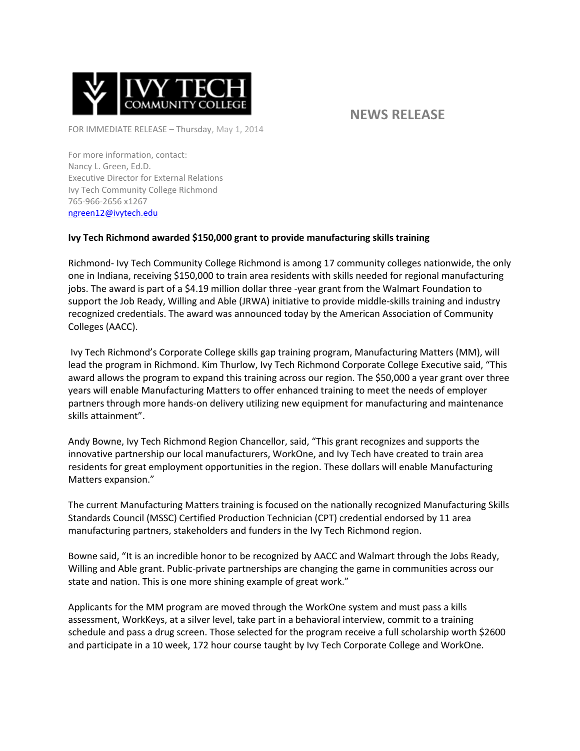

## **NEWS RELEASE**

FOR IMMEDIATE RELEASE – Thursday, May 1, 2014

For more information, contact: Nancy L. Green, Ed.D. Executive Director for External Relations Ivy Tech Community College Richmond 765-966-2656 x1267 [ngreen12@ivytech.edu](mailto:ngreen12@ivytech.edu)

## **Ivy Tech Richmond awarded \$150,000 grant to provide manufacturing skills training**

Richmond- Ivy Tech Community College Richmond is among 17 community colleges nationwide, the only one in Indiana, receiving \$150,000 to train area residents with skills needed for regional manufacturing jobs. The award is part of a \$4.19 million dollar three -year grant from the Walmart Foundation to support the Job Ready, Willing and Able (JRWA) initiative to provide middle-skills training and industry recognized credentials. The award was announced today by the American Association of Community Colleges (AACC).

Ivy Tech Richmond's Corporate College skills gap training program, Manufacturing Matters (MM), will lead the program in Richmond. Kim Thurlow, Ivy Tech Richmond Corporate College Executive said, "This award allows the program to expand this training across our region. The \$50,000 a year grant over three years will enable Manufacturing Matters to offer enhanced training to meet the needs of employer partners through more hands-on delivery utilizing new equipment for manufacturing and maintenance skills attainment".

Andy Bowne, Ivy Tech Richmond Region Chancellor, said, "This grant recognizes and supports the innovative partnership our local manufacturers, WorkOne, and Ivy Tech have created to train area residents for great employment opportunities in the region. These dollars will enable Manufacturing Matters expansion."

The current Manufacturing Matters training is focused on the nationally recognized Manufacturing Skills Standards Council (MSSC) Certified Production Technician (CPT) credential endorsed by 11 area manufacturing partners, stakeholders and funders in the Ivy Tech Richmond region.

Bowne said, "It is an incredible honor to be recognized by AACC and Walmart through the Jobs Ready, Willing and Able grant. Public-private partnerships are changing the game in communities across our state and nation. This is one more shining example of great work."

Applicants for the MM program are moved through the WorkOne system and must pass a kills assessment, WorkKeys, at a silver level, take part in a behavioral interview, commit to a training schedule and pass a drug screen. Those selected for the program receive a full scholarship worth \$2600 and participate in a 10 week, 172 hour course taught by Ivy Tech Corporate College and WorkOne.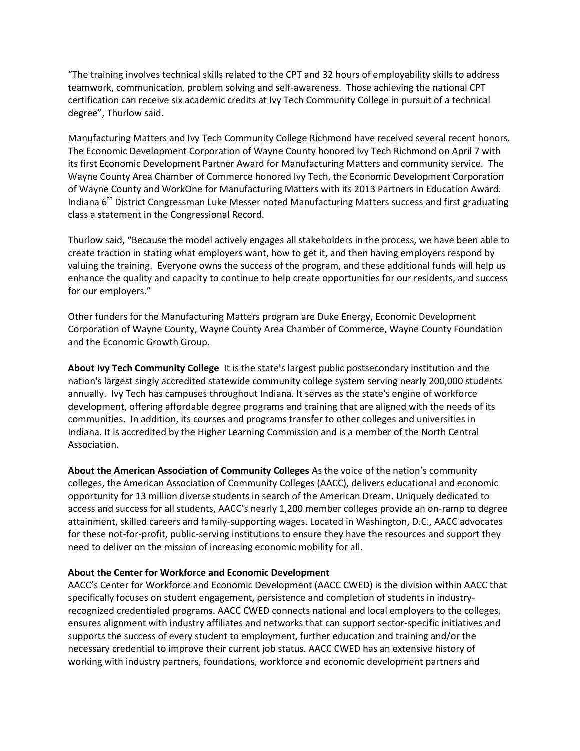"The training involves technical skills related to the CPT and 32 hours of employability skills to address teamwork, communication, problem solving and self-awareness. Those achieving the national CPT certification can receive six academic credits at Ivy Tech Community College in pursuit of a technical degree", Thurlow said.

Manufacturing Matters and Ivy Tech Community College Richmond have received several recent honors. The Economic Development Corporation of Wayne County honored Ivy Tech Richmond on April 7 with its first Economic Development Partner Award for Manufacturing Matters and community service. The Wayne County Area Chamber of Commerce honored Ivy Tech, the Economic Development Corporation of Wayne County and WorkOne for Manufacturing Matters with its 2013 Partners in Education Award. Indiana 6<sup>th</sup> District Congressman Luke Messer noted Manufacturing Matters success and first graduating class a statement in the Congressional Record.

Thurlow said, "Because the model actively engages all stakeholders in the process, we have been able to create traction in stating what employers want, how to get it, and then having employers respond by valuing the training. Everyone owns the success of the program, and these additional funds will help us enhance the quality and capacity to continue to help create opportunities for our residents, and success for our employers."

Other funders for the Manufacturing Matters program are Duke Energy, Economic Development Corporation of Wayne County, Wayne County Area Chamber of Commerce, Wayne County Foundation and the Economic Growth Group.

**About Ivy Tech Community College** It is the state's largest public postsecondary institution and the nation's largest singly accredited statewide community college system serving nearly 200,000 students annually. Ivy Tech has campuses throughout Indiana. It serves as the state's engine of workforce development, offering affordable degree programs and training that are aligned with the needs of its communities. In addition, its courses and programs transfer to other colleges and universities in Indiana. It is accredited by the Higher Learning Commission and is a member of the North Central Association.

**About the American Association of Community Colleges** As the voice of the nation's community colleges, the American Association of Community Colleges (AACC), delivers educational and economic opportunity for 13 million diverse students in search of the American Dream. Uniquely dedicated to access and success for all students, AACC's nearly 1,200 member colleges provide an on-ramp to degree attainment, skilled careers and family-supporting wages. Located in Washington, D.C., AACC advocates for these not-for-profit, public-serving institutions to ensure they have the resources and support they need to deliver on the mission of increasing economic mobility for all.

## **About the Center for Workforce and Economic Development**

AACC's Center for Workforce and Economic Development (AACC CWED) is the division within AACC that specifically focuses on student engagement, persistence and completion of students in industryrecognized credentialed programs. AACC CWED connects national and local employers to the colleges, ensures alignment with industry affiliates and networks that can support sector-specific initiatives and supports the success of every student to employment, further education and training and/or the necessary credential to improve their current job status. AACC CWED has an extensive history of working with industry partners, foundations, workforce and economic development partners and